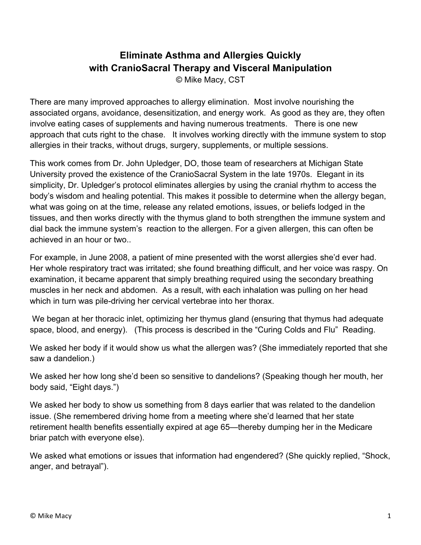## **Eliminate Asthma and Allergies Quickly with CranioSacral Therapy and Visceral Manipulation**

© Mike Macy, CST

There are many improved approaches to allergy elimination. Most involve nourishing the associated organs, avoidance, desensitization, and energy work. As good as they are, they often involve eating cases of supplements and having numerous treatments. There is one new approach that cuts right to the chase. It involves working directly with the immune system to stop allergies in their tracks, without drugs, surgery, supplements, or multiple sessions.

This work comes from Dr. John Upledger, DO, those team of researchers at Michigan State University proved the existence of the CranioSacral System in the late 1970s. Elegant in its simplicity, Dr. Upledger's protocol eliminates allergies by using the cranial rhythm to access the body's wisdom and healing potential. This makes it possible to determine when the allergy began, what was going on at the time, release any related emotions, issues, or beliefs lodged in the tissues, and then works directly with the thymus gland to both strengthen the immune system and dial back the immune system's reaction to the allergen. For a given allergen, this can often be achieved in an hour or two..

For example, in June 2008, a patient of mine presented with the worst allergies she'd ever had. Her whole respiratory tract was irritated; she found breathing difficult, and her voice was raspy. On examination, it became apparent that simply breathing required using the secondary breathing muscles in her neck and abdomen. As a result, with each inhalation was pulling on her head which in turn was pile-driving her cervical vertebrae into her thorax.

We began at her thoracic inlet, optimizing her thymus gland (ensuring that thymus had adequate space, blood, and energy). (This process is described in the "Curing Colds and Flu" Reading.

We asked her body if it would show us what the allergen was? (She immediately reported that she saw a dandelion.)

We asked her how long she'd been so sensitive to dandelions? (Speaking though her mouth, her body said, "Eight days.")

We asked her body to show us something from 8 days earlier that was related to the dandelion issue. (She remembered driving home from a meeting where she'd learned that her state retirement health benefits essentially expired at age 65—thereby dumping her in the Medicare briar patch with everyone else).

We asked what emotions or issues that information had engendered? (She quickly replied, "Shock, anger, and betrayal").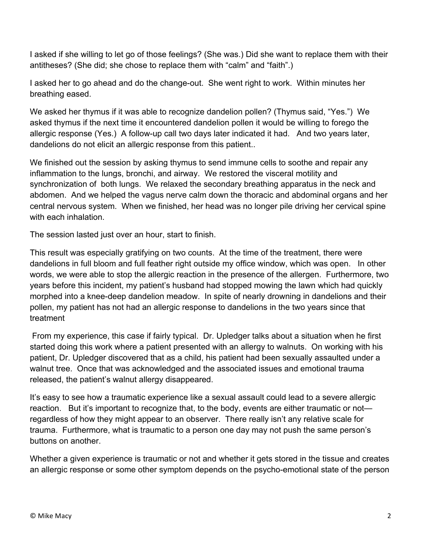I asked if she willing to let go of those feelings? (She was.) Did she want to replace them with their antitheses? (She did; she chose to replace them with "calm" and "faith".)

I asked her to go ahead and do the change-out. She went right to work. Within minutes her breathing eased.

We asked her thymus if it was able to recognize dandelion pollen? (Thymus said, "Yes.") We asked thymus if the next time it encountered dandelion pollen it would be willing to forego the allergic response (Yes.) A follow-up call two days later indicated it had. And two years later, dandelions do not elicit an allergic response from this patient..

We finished out the session by asking thymus to send immune cells to soothe and repair any inflammation to the lungs, bronchi, and airway. We restored the visceral motility and synchronization of both lungs. We relaxed the secondary breathing apparatus in the neck and abdomen. And we helped the vagus nerve calm down the thoracic and abdominal organs and her central nervous system. When we finished, her head was no longer pile driving her cervical spine with each inhalation.

The session lasted just over an hour, start to finish.

This result was especially gratifying on two counts. At the time of the treatment, there were dandelions in full bloom and full feather right outside my office window, which was open. In other words, we were able to stop the allergic reaction in the presence of the allergen. Furthermore, two years before this incident, my patient's husband had stopped mowing the lawn which had quickly morphed into a knee-deep dandelion meadow. In spite of nearly drowning in dandelions and their pollen, my patient has not had an allergic response to dandelions in the two years since that treatment

 From my experience, this case if fairly typical. Dr. Upledger talks about a situation when he first started doing this work where a patient presented with an allergy to walnuts. On working with his patient, Dr. Upledger discovered that as a child, his patient had been sexually assaulted under a walnut tree. Once that was acknowledged and the associated issues and emotional trauma released, the patient's walnut allergy disappeared.

It's easy to see how a traumatic experience like a sexual assault could lead to a severe allergic reaction. But it's important to recognize that, to the body, events are either traumatic or not regardless of how they might appear to an observer. There really isn't any relative scale for trauma. Furthermore, what is traumatic to a person one day may not push the same person's buttons on another.

Whether a given experience is traumatic or not and whether it gets stored in the tissue and creates an allergic response or some other symptom depends on the psycho-emotional state of the person